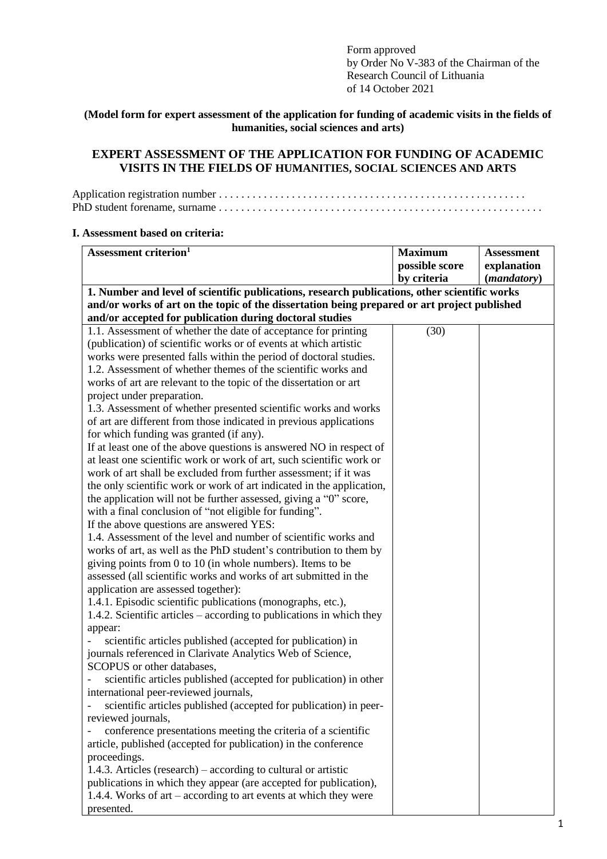Form approved by Order No V-383 of the Chairman of the Research Council of Lithuania of 14 October 2021

## **(Model form for expert assessment of the application for funding of academic visits in the fields of humanities, social sciences and arts)**

# **EXPERT ASSESSMENT OF THE APPLICATION FOR FUNDING OF ACADEMIC VISITS IN THE FIELDS OF HUMANITIES, SOCIAL SCIENCES AND ARTS**

### **I. Assessment based on criteria:**

| Assessment criterion <sup>1</sup>                                                             | <b>Maximum</b> | <b>Assessment</b>    |
|-----------------------------------------------------------------------------------------------|----------------|----------------------|
|                                                                                               | possible score | explanation          |
|                                                                                               | by criteria    | ( <i>mandatory</i> ) |
| 1. Number and level of scientific publications, research publications, other scientific works |                |                      |
| and/or works of art on the topic of the dissertation being prepared or art project published  |                |                      |
| and/or accepted for publication during doctoral studies                                       |                |                      |
| 1.1. Assessment of whether the date of acceptance for printing                                | (30)           |                      |
| (publication) of scientific works or of events at which artistic                              |                |                      |
| works were presented falls within the period of doctoral studies.                             |                |                      |
| 1.2. Assessment of whether themes of the scientific works and                                 |                |                      |
| works of art are relevant to the topic of the dissertation or art                             |                |                      |
| project under preparation.                                                                    |                |                      |
| 1.3. Assessment of whether presented scientific works and works                               |                |                      |
| of art are different from those indicated in previous applications                            |                |                      |
| for which funding was granted (if any).                                                       |                |                      |
| If at least one of the above questions is answered NO in respect of                           |                |                      |
| at least one scientific work or work of art, such scientific work or                          |                |                      |
| work of art shall be excluded from further assessment; if it was                              |                |                      |
| the only scientific work or work of art indicated in the application,                         |                |                      |
| the application will not be further assessed, giving a "0" score,                             |                |                      |
| with a final conclusion of "not eligible for funding".                                        |                |                      |
| If the above questions are answered YES:                                                      |                |                      |
| 1.4. Assessment of the level and number of scientific works and                               |                |                      |
| works of art, as well as the PhD student's contribution to them by                            |                |                      |
| giving points from $0$ to $10$ (in whole numbers). Items to be                                |                |                      |
| assessed (all scientific works and works of art submitted in the                              |                |                      |
| application are assessed together):                                                           |                |                      |
| 1.4.1. Episodic scientific publications (monographs, etc.),                                   |                |                      |
| 1.4.2. Scientific articles – according to publications in which they                          |                |                      |
| appear:                                                                                       |                |                      |
| scientific articles published (accepted for publication) in                                   |                |                      |
| journals referenced in Clarivate Analytics Web of Science,                                    |                |                      |
| SCOPUS or other databases,                                                                    |                |                      |
| scientific articles published (accepted for publication) in other                             |                |                      |
| international peer-reviewed journals,                                                         |                |                      |
| scientific articles published (accepted for publication) in peer-                             |                |                      |
| reviewed journals,                                                                            |                |                      |
| conference presentations meeting the criteria of a scientific                                 |                |                      |
| article, published (accepted for publication) in the conference                               |                |                      |
| proceedings.                                                                                  |                |                      |
| 1.4.3. Articles (research) – according to cultural or artistic                                |                |                      |
| publications in which they appear (are accepted for publication),                             |                |                      |
| 1.4.4. Works of art – according to art events at which they were                              |                |                      |
| presented.                                                                                    |                |                      |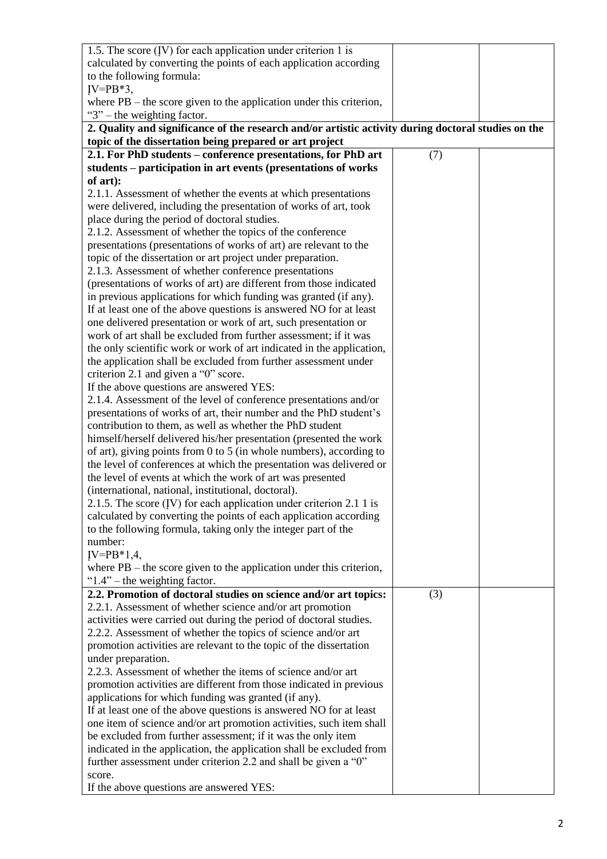| 1.5. The score $(IV)$ for each application under criterion 1 is                                     |     |  |
|-----------------------------------------------------------------------------------------------------|-----|--|
| calculated by converting the points of each application according                                   |     |  |
| to the following formula:                                                                           |     |  |
| $IV = PB*3$ ,                                                                                       |     |  |
| where $PB$ – the score given to the application under this criterion,                               |     |  |
| " $3$ " – the weighting factor.                                                                     |     |  |
| 2. Quality and significance of the research and/or artistic activity during doctoral studies on the |     |  |
| topic of the dissertation being prepared or art project                                             |     |  |
| 2.1. For PhD students – conference presentations, for PhD art                                       | (7) |  |
|                                                                                                     |     |  |
| students – participation in art events (presentations of works                                      |     |  |
| of art):                                                                                            |     |  |
| 2.1.1. Assessment of whether the events at which presentations                                      |     |  |
| were delivered, including the presentation of works of art, took                                    |     |  |
| place during the period of doctoral studies.                                                        |     |  |
| 2.1.2. Assessment of whether the topics of the conference                                           |     |  |
| presentations (presentations of works of art) are relevant to the                                   |     |  |
| topic of the dissertation or art project under preparation.                                         |     |  |
| 2.1.3. Assessment of whether conference presentations                                               |     |  |
| (presentations of works of art) are different from those indicated                                  |     |  |
| in previous applications for which funding was granted (if any).                                    |     |  |
| If at least one of the above questions is answered NO for at least                                  |     |  |
| one delivered presentation or work of art, such presentation or                                     |     |  |
| work of art shall be excluded from further assessment; if it was                                    |     |  |
| the only scientific work or work of art indicated in the application,                               |     |  |
| the application shall be excluded from further assessment under                                     |     |  |
| criterion 2.1 and given a "0" score.                                                                |     |  |
| If the above questions are answered YES:                                                            |     |  |
| 2.1.4. Assessment of the level of conference presentations and/or                                   |     |  |
| presentations of works of art, their number and the PhD student's                                   |     |  |
| contribution to them, as well as whether the PhD student                                            |     |  |
| himself/herself delivered his/her presentation (presented the work                                  |     |  |
| of art), giving points from $0$ to $5$ (in whole numbers), according to                             |     |  |
| the level of conferences at which the presentation was delivered or                                 |     |  |
| the level of events at which the work of art was presented                                          |     |  |
| (international, national, institutional, doctoral).                                                 |     |  |
| 2.1.5. The score (IV) for each application under criterion 2.1 1 is                                 |     |  |
| calculated by converting the points of each application according                                   |     |  |
| to the following formula, taking only the integer part of the                                       |     |  |
| number:                                                                                             |     |  |
| $IV = PB*1,4,$                                                                                      |     |  |
| where $PB$ – the score given to the application under this criterion,                               |     |  |
| " $1.4$ " – the weighting factor.                                                                   |     |  |
| 2.2. Promotion of doctoral studies on science and/or art topics:                                    | (3) |  |
| 2.2.1. Assessment of whether science and/or art promotion                                           |     |  |
| activities were carried out during the period of doctoral studies.                                  |     |  |
| 2.2.2. Assessment of whether the topics of science and/or art                                       |     |  |
| promotion activities are relevant to the topic of the dissertation                                  |     |  |
| under preparation.                                                                                  |     |  |
| 2.2.3. Assessment of whether the items of science and/or art                                        |     |  |
| promotion activities are different from those indicated in previous                                 |     |  |
| applications for which funding was granted (if any).                                                |     |  |
| If at least one of the above questions is answered NO for at least                                  |     |  |
| one item of science and/or art promotion activities, such item shall                                |     |  |
| be excluded from further assessment; if it was the only item                                        |     |  |
| indicated in the application, the application shall be excluded from                                |     |  |
| further assessment under criterion 2.2 and shall be given a "0"                                     |     |  |
| score.                                                                                              |     |  |
| If the above questions are answered YES:                                                            |     |  |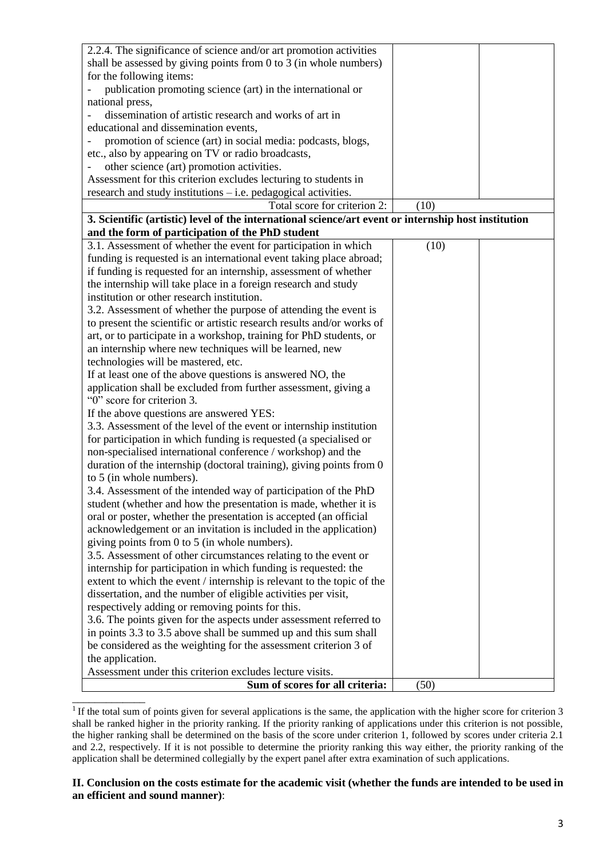| 2.2.4. The significance of science and/or art promotion activities                                                                    |      |  |
|---------------------------------------------------------------------------------------------------------------------------------------|------|--|
| shall be assessed by giving points from 0 to 3 (in whole numbers)                                                                     |      |  |
| for the following items:                                                                                                              |      |  |
| publication promoting science (art) in the international or                                                                           |      |  |
| national press,                                                                                                                       |      |  |
| dissemination of artistic research and works of art in                                                                                |      |  |
| educational and dissemination events,                                                                                                 |      |  |
| promotion of science (art) in social media: podcasts, blogs,                                                                          |      |  |
| etc., also by appearing on TV or radio broadcasts,                                                                                    |      |  |
| other science (art) promotion activities.                                                                                             |      |  |
| Assessment for this criterion excludes lecturing to students in                                                                       |      |  |
| research and study institutions $-$ i.e. pedagogical activities.                                                                      |      |  |
| Total score for criterion 2:                                                                                                          | (10) |  |
| 3. Scientific (artistic) level of the international science/art event or internship host institution                                  |      |  |
| and the form of participation of the PhD student                                                                                      |      |  |
| 3.1. Assessment of whether the event for participation in which                                                                       | (10) |  |
| funding is requested is an international event taking place abroad;                                                                   |      |  |
| if funding is requested for an internship, assessment of whether                                                                      |      |  |
| the internship will take place in a foreign research and study                                                                        |      |  |
| institution or other research institution.                                                                                            |      |  |
| 3.2. Assessment of whether the purpose of attending the event is                                                                      |      |  |
| to present the scientific or artistic research results and/or works of                                                                |      |  |
| art, or to participate in a workshop, training for PhD students, or                                                                   |      |  |
| an internship where new techniques will be learned, new                                                                               |      |  |
| technologies will be mastered, etc.                                                                                                   |      |  |
| If at least one of the above questions is answered NO, the                                                                            |      |  |
| application shall be excluded from further assessment, giving a                                                                       |      |  |
| "0" score for criterion 3.                                                                                                            |      |  |
| If the above questions are answered YES:                                                                                              |      |  |
| 3.3. Assessment of the level of the event or internship institution                                                                   |      |  |
| for participation in which funding is requested (a specialised or                                                                     |      |  |
| non-specialised international conference / workshop) and the                                                                          |      |  |
| duration of the internship (doctoral training), giving points from 0                                                                  |      |  |
| to 5 (in whole numbers).                                                                                                              |      |  |
|                                                                                                                                       |      |  |
| 3.4. Assessment of the intended way of participation of the PhD                                                                       |      |  |
| student (whether and how the presentation is made, whether it is                                                                      |      |  |
| oral or poster, whether the presentation is accepted (an official<br>acknowledgement or an invitation is included in the application) |      |  |
|                                                                                                                                       |      |  |
| giving points from 0 to 5 (in whole numbers).                                                                                         |      |  |
| 3.5. Assessment of other circumstances relating to the event or                                                                       |      |  |
| internship for participation in which funding is requested: the                                                                       |      |  |
| extent to which the event / internship is relevant to the topic of the                                                                |      |  |
| dissertation, and the number of eligible activities per visit,                                                                        |      |  |
| respectively adding or removing points for this.                                                                                      |      |  |
| 3.6. The points given for the aspects under assessment referred to                                                                    |      |  |
| in points 3.3 to 3.5 above shall be summed up and this sum shall                                                                      |      |  |
| be considered as the weighting for the assessment criterion 3 of                                                                      |      |  |
| the application.                                                                                                                      |      |  |
| Assessment under this criterion excludes lecture visits.                                                                              |      |  |
| Sum of scores for all criteria:                                                                                                       | (50) |  |
|                                                                                                                                       |      |  |

 $1$ If the total sum of points given for several applications is the same, the application with the higher score for criterion 3 shall be ranked higher in the priority ranking. If the priority ranking of applications under this criterion is not possible, the higher ranking shall be determined on the basis of the score under criterion 1, followed by scores under criteria 2.1 and 2.2, respectively. If it is not possible to determine the priority ranking this way either, the priority ranking of the application shall be determined collegially by the expert panel after extra examination of such applications.

### **II. Conclusion on the costs estimate for the academic visit (whether the funds are intended to be used in an efficient and sound manner)**: